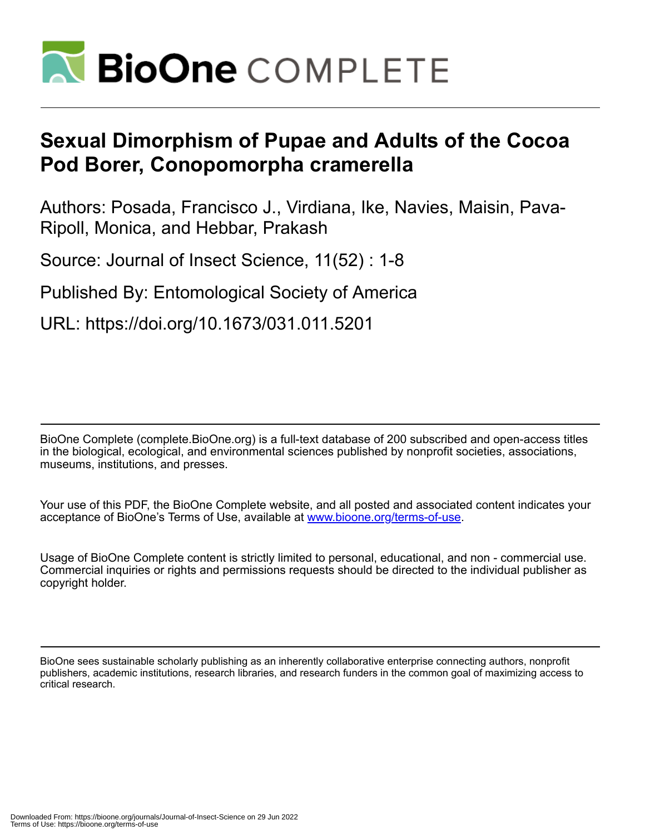

# **Sexual Dimorphism of Pupae and Adults of the Cocoa Pod Borer, Conopomorpha cramerella**

Authors: Posada, Francisco J., Virdiana, Ike, Navies, Maisin, Pava-Ripoll, Monica, and Hebbar, Prakash

Source: Journal of Insect Science, 11(52) : 1-8

Published By: Entomological Society of America

URL: https://doi.org/10.1673/031.011.5201

BioOne Complete (complete.BioOne.org) is a full-text database of 200 subscribed and open-access titles in the biological, ecological, and environmental sciences published by nonprofit societies, associations, museums, institutions, and presses.

Your use of this PDF, the BioOne Complete website, and all posted and associated content indicates your acceptance of BioOne's Terms of Use, available at www.bioone.org/terms-of-use.

Usage of BioOne Complete content is strictly limited to personal, educational, and non - commercial use. Commercial inquiries or rights and permissions requests should be directed to the individual publisher as copyright holder.

BioOne sees sustainable scholarly publishing as an inherently collaborative enterprise connecting authors, nonprofit publishers, academic institutions, research libraries, and research funders in the common goal of maximizing access to critical research.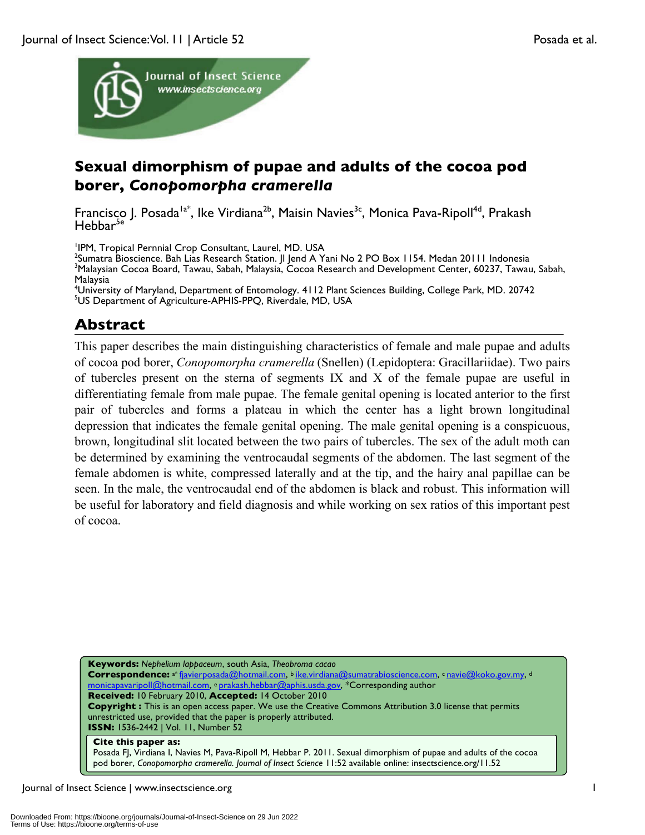

# **Sexual dimorphism of pupae and adults of the cocoa pod borer,** *Conopomorpha cramerella*

Francisco J. Posada<sup>la\*</sup>, Ike Virdiana<sup>2b</sup>, Maisin Navies<sup>3c</sup>, Monica Pava-Ripoll<sup>4d</sup>, Prakash  $Hebbar<sup>5e</sup>$ 

<sup>1</sup>IPM, Tropical Pernnial Crop Consultant, Laurel, MD. USA<br><sup>2</sup>Sumatra Bioscionse, Bab Lias Research Station, Il Jond A. Y

<sup>2</sup>Sumatra Bioscience. Bah Lias Research Station. |I Jend A Yani No 2 PO Box 1154. Medan 20111 Indonesia  $^3$ Malaysian Cocoa Board, Tawau, Sabah, Malaysia, Cocoa Research and Development Center, 60237, Tawau, Sabah, Malaysia

<sup>4</sup>University of Maryland, Department of Entomology. 4112 Plant Sciences Building, College Park, MD. 20742<br><sup>5</sup>LIS Department of Agriculture, ABHIS BPO, Biverdale, MD, LISA US Department of Agriculture-APHIS-PPQ, Riverdale, MD, USA

# **Abstract**

This paper describes the main distinguishing characteristics of female and male pupae and adults of cocoa pod borer, *Conopomorpha cramerella* (Snellen) (Lepidoptera: Gracillariidae). Two pairs of tubercles present on the sterna of segments IX and X of the female pupae are useful in differentiating female from male pupae. The female genital opening is located anterior to the first pair of tubercles and forms a plateau in which the center has a light brown longitudinal depression that indicates the female genital opening. The male genital opening is a conspicuous, brown, longitudinal slit located between the two pairs of tubercles. The sex of the adult moth can be determined by examining the ventrocaudal segments of the abdomen. The last segment of the female abdomen is white, compressed laterally and at the tip, and the hairy anal papillae can be seen. In the male, the ventrocaudal end of the abdomen is black and robust. This information will be useful for laboratory and field diagnosis and while working on sex ratios of this important pest of cocoa.

**Keywords:** *Nephelium lappaceum*, south Asia, *Theobroma cacao* Correspondence: a\* fjavierposada@hotmail.com, b ike.virdiana@sumatrabioscience.com, c navie@koko.gov.my, d monicapavaripoll@hotmail.com, <sup>e</sup> prakash.hebbar@aphis.usda.gov, \*Corresponding author **Received:** 10 February 2010, **Accepted:** 14 October 2010 **Copyright :** This is an open access paper. We use the Creative Commons Attribution 3.0 license that permits unrestricted use, provided that the paper is properly attributed. **ISSN:** 1536-2442 | Vol. 11, Number 52

#### **Cite this paper as:**

Posada FJ, Virdiana I, Navies M, Pava-Ripoll M, Hebbar P. 2011. Sexual dimorphism of pupae and adults of the cocoa pod borer, *Conopomorpha cramerella. Journal of Insect Science* 11:52 available online: insectscience.org/11.52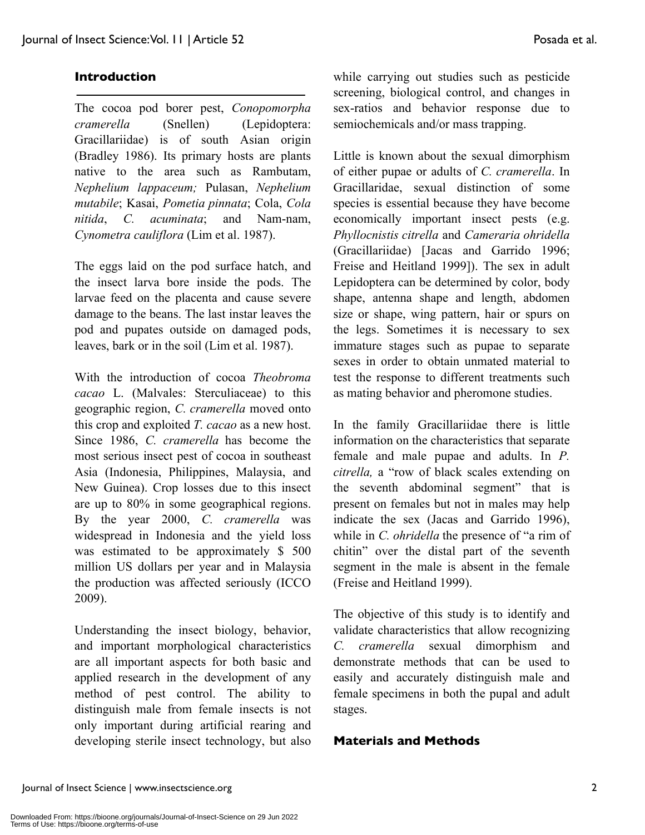#### **Introduction**

The cocoa pod borer pest, *Conopomorpha cramerella* (Snellen) (Lepidoptera: Gracillariidae) is of south Asian origin (Bradley 1986). Its primary hosts are plants native to the area such as Rambutam, *Nephelium lappaceum;* Pulasan, *Nephelium mutabile*; Kasai, *Pometia pinnata*; Cola, *Cola nitida*, *C. acuminata*; and Nam-nam, *Cynometra cauliflora* (Lim et al. 1987).

The eggs laid on the pod surface hatch, and the insect larva bore inside the pods. The larvae feed on the placenta and cause severe damage to the beans. The last instar leaves the pod and pupates outside on damaged pods, leaves, bark or in the soil (Lim et al. 1987).

With the introduction of cocoa *Theobroma cacao* L. (Malvales: Sterculiaceae) to this geographic region, *C. cramerella* moved onto this crop and exploited *T. cacao* as a new host. Since 1986, *C. cramerella* has become the most serious insect pest of cocoa in southeast Asia (Indonesia, Philippines, Malaysia, and New Guinea). Crop losses due to this insect are up to 80% in some geographical regions. By the year 2000, *C. cramerella* was widespread in Indonesia and the yield loss was estimated to be approximately \$ 500 million US dollars per year and in Malaysia the production was affected seriously (ICCO 2009).

Understanding the insect biology, behavior, and important morphological characteristics are all important aspects for both basic and applied research in the development of any method of pest control. The ability to distinguish male from female insects is not only important during artificial rearing and developing sterile insect technology, but also while carrying out studies such as pesticide screening, biological control, and changes in sex-ratios and behavior response due to semiochemicals and/or mass trapping.

Little is known about the sexual dimorphism of either pupae or adults of *C. cramerella*. In Gracillaridae, sexual distinction of some species is essential because they have become economically important insect pests (e.g. *Phyllocnistis citrella* and *Cameraria ohridella* (Gracillariidae) [Jacas and Garrido 1996; Freise and Heitland 1999]). The sex in adult Lepidoptera can be determined by color, body shape, antenna shape and length, abdomen size or shape, wing pattern, hair or spurs on the legs. Sometimes it is necessary to sex immature stages such as pupae to separate sexes in order to obtain unmated material to test the response to different treatments such as mating behavior and pheromone studies.

In the family Gracillariidae there is little information on the characteristics that separate female and male pupae and adults. In *P. citrella,* a "row of black scales extending on the seventh abdominal segment" that is present on females but not in males may help indicate the sex (Jacas and Garrido 1996), while in *C. ohridella* the presence of "a rim of chitin" over the distal part of the seventh segment in the male is absent in the female (Freise and Heitland 1999).

The objective of this study is to identify and validate characteristics that allow recognizing *C. cramerella* sexual dimorphism and demonstrate methods that can be used to easily and accurately distinguish male and female specimens in both the pupal and adult stages.

#### **Materials and Methods**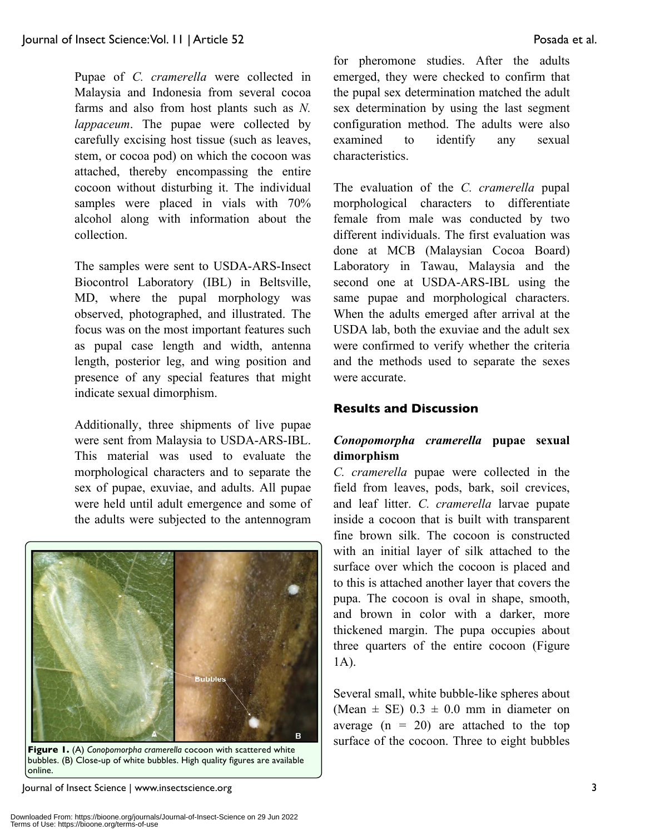Pupae of *C. cramerella* were collected in Malaysia and Indonesia from several cocoa farms and also from host plants such as *N. lappaceum*. The pupae were collected by carefully excising host tissue (such as leaves, stem, or cocoa pod) on which the cocoon was attached, thereby encompassing the entire cocoon without disturbing it. The individual samples were placed in vials with 70% alcohol along with information about the collection.

The samples were sent to USDA-ARS-Insect Biocontrol Laboratory (IBL) in Beltsville, MD, where the pupal morphology was observed, photographed, and illustrated. The focus was on the most important features such as pupal case length and width, antenna length, posterior leg, and wing position and presence of any special features that might indicate sexual dimorphism.

Additionally, three shipments of live pupae were sent from Malaysia to USDA-ARS-IBL. This material was used to evaluate the morphological characters and to separate the sex of pupae, exuviae, and adults. All pupae were held until adult emergence and some of the adults were subjected to the antennogram



**Figure 1.** (A) *Conopomorpha cramerella* cocoon with scattered white bubbles. (B) Close-up of white bubbles. High quality figures are available online.

for pheromone studies. After the adults emerged, they were checked to confirm that the pupal sex determination matched the adult sex determination by using the last segment configuration method. The adults were also examined to identify any sexual characteristics.

The evaluation of the *C. cramerella* pupal morphological characters to differentiate female from male was conducted by two different individuals. The first evaluation was done at MCB (Malaysian Cocoa Board) Laboratory in Tawau, Malaysia and the second one at USDA-ARS-IBL using the same pupae and morphological characters. When the adults emerged after arrival at the USDA lab, both the exuviae and the adult sex were confirmed to verify whether the criteria and the methods used to separate the sexes were accurate.

#### **Results and Discussion**

### *Conopomorpha cramerella* **pupae sexual dimorphism**

*C. cramerella* pupae were collected in the field from leaves, pods, bark, soil crevices, and leaf litter. *C. cramerella* larvae pupate inside a cocoon that is built with transparent fine brown silk. The cocoon is constructed with an initial layer of silk attached to the surface over which the cocoon is placed and to this is attached another layer that covers the pupa. The cocoon is oval in shape, smooth, and brown in color with a darker, more thickened margin. The pupa occupies about three quarters of the entire cocoon (Figure 1A).

Several small, white bubble-like spheres about (Mean  $\pm$  SE) 0.3  $\pm$  0.0 mm in diameter on average  $(n = 20)$  are attached to the top surface of the cocoon. Three to eight bubbles

Journal of Insect Science | www.insectscience.org 3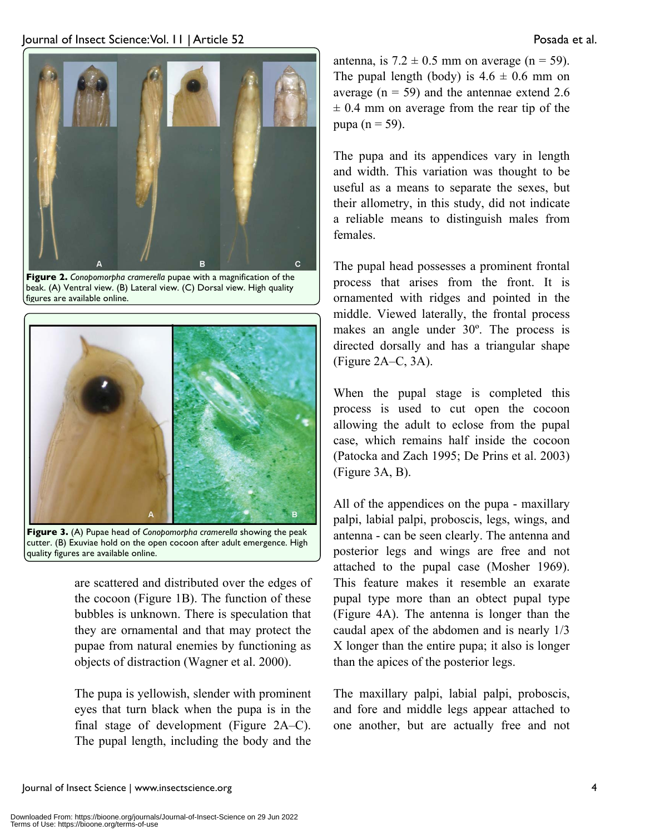

**Figure 2.** *Conopomorpha cramerella* pupae with a magnification of the beak. (A) Ventral view. (B) Lateral view. (C) Dorsal view. High quality figures are available online.



**Figure 3.** (A) Pupae head of *Conopomorpha cramerella* showing the peak cutter. (B) Exuviae hold on the open cocoon after adult emergence. High quality figures are available online.

are scattered and distributed over the edges of the cocoon (Figure 1B). The function of these bubbles is unknown. There is speculation that they are ornamental and that may protect the pupae from natural enemies by functioning as objects of distraction (Wagner et al. 2000).

The pupa is yellowish, slender with prominent eyes that turn black when the pupa is in the final stage of development (Figure 2A–C). The pupal length, including the body and the antenna, is  $7.2 \pm 0.5$  mm on average (n = 59). The pupal length (body) is  $4.6 \pm 0.6$  mm on average ( $n = 59$ ) and the antennae extend 2.6  $\pm$  0.4 mm on average from the rear tip of the pupa ( $n = 59$ ).

The pupa and its appendices vary in length and width. This variation was thought to be useful as a means to separate the sexes, but their allometry, in this study, did not indicate a reliable means to distinguish males from females.

The pupal head possesses a prominent frontal process that arises from the front. It is ornamented with ridges and pointed in the middle. Viewed laterally, the frontal process makes an angle under 30º. The process is directed dorsally and has a triangular shape (Figure 2A–C, 3A).

When the pupal stage is completed this process is used to cut open the cocoon allowing the adult to eclose from the pupal case, which remains half inside the cocoon (Patocka and Zach 1995; De Prins et al. 2003) (Figure 3A, B).

All of the appendices on the pupa - maxillary palpi, labial palpi, proboscis, legs, wings, and antenna - can be seen clearly. The antenna and posterior legs and wings are free and not attached to the pupal case (Mosher 1969). This feature makes it resemble an exarate pupal type more than an obtect pupal type (Figure 4A). The antenna is longer than the caudal apex of the abdomen and is nearly 1/3 X longer than the entire pupa; it also is longer than the apices of the posterior legs.

The maxillary palpi, labial palpi, proboscis, and fore and middle legs appear attached to one another, but are actually free and not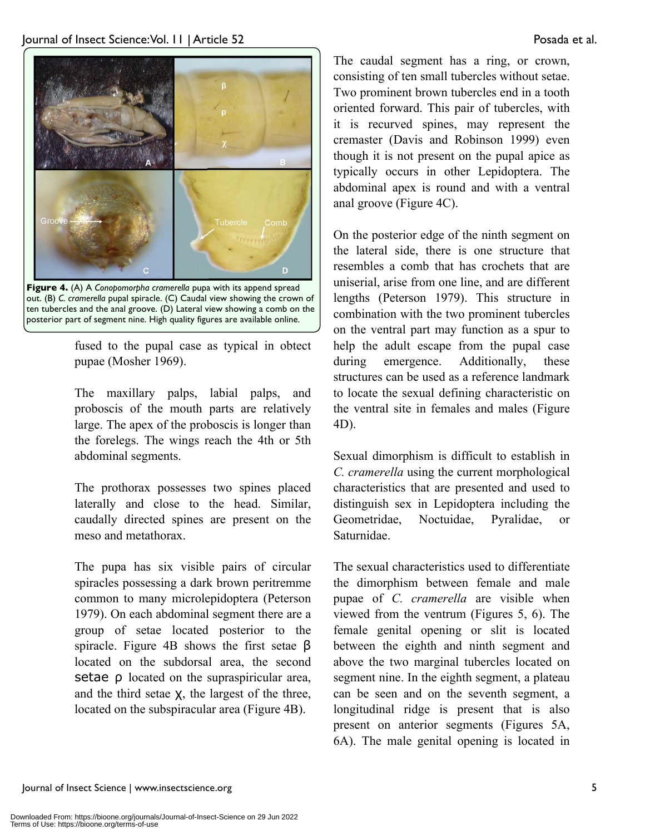

**Figure 4.** (A) A *Conopomorpha cramerella* pupa with its append spread out. (B) *C. cramerella* pupal spiracle. (C) Caudal view showing the crown of ten tubercles and the anal groove. (D) Lateral view showing a comb on the posterior part of segment nine. High quality figures are available online.

fused to the pupal case as typical in obtect pupae (Mosher 1969).

The maxillary palps, labial palps, and proboscis of the mouth parts are relatively large. The apex of the proboscis is longer than the forelegs. The wings reach the 4th or 5th abdominal segments.

The prothorax possesses two spines placed laterally and close to the head. Similar, caudally directed spines are present on the meso and metathorax.

The pupa has six visible pairs of circular spiracles possessing a dark brown peritremme common to many microlepidoptera (Peterson 1979). On each abdominal segment there are a group of setae located posterior to the spiracle. Figure 4B shows the first setae  $\beta$ located on the subdorsal area, the second setae  $\rho$  located on the supraspiricular area, and the third setae  $X$ , the largest of the three, located on the subspiracular area (Figure 4B).

The caudal segment has a ring, or crown, consisting of ten small tubercles without setae. Two prominent brown tubercles end in a tooth oriented forward. This pair of tubercles, with it is recurved spines, may represent the cremaster (Davis and Robinson 1999) even though it is not present on the pupal apice as typically occurs in other Lepidoptera. The abdominal apex is round and with a ventral anal groove (Figure 4C).

On the posterior edge of the ninth segment on the lateral side, there is one structure that resembles a comb that has crochets that are uniserial, arise from one line, and are different lengths (Peterson 1979). This structure in combination with the two prominent tubercles on the ventral part may function as a spur to help the adult escape from the pupal case during emergence. Additionally, these structures can be used as a reference landmark to locate the sexual defining characteristic on the ventral site in females and males (Figure 4D).

Sexual dimorphism is difficult to establish in *C. cramerella* using the current morphological characteristics that are presented and used to distinguish sex in Lepidoptera including the Geometridae, Noctuidae, Pyralidae, or Saturnidae.

The sexual characteristics used to differentiate the dimorphism between female and male pupae of *C. cramerella* are visible when viewed from the ventrum (Figures 5, 6). The female genital opening or slit is located between the eighth and ninth segment and above the two marginal tubercles located on segment nine. In the eighth segment, a plateau can be seen and on the seventh segment, a longitudinal ridge is present that is also present on anterior segments (Figures 5A, 6A). The male genital opening is located in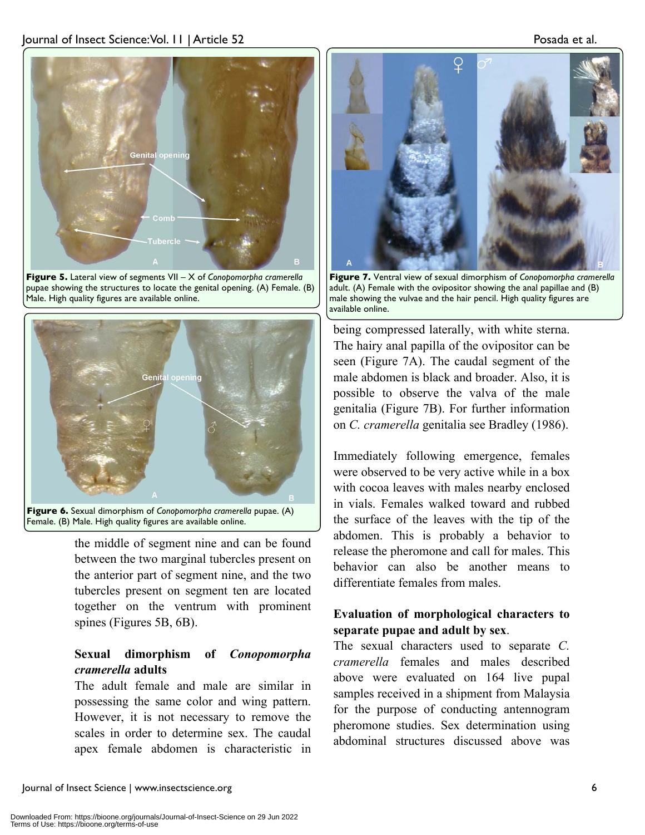

**Figure 5.** Lateral view of segments VII – X of *Conopomorpha cramerella* pupae showing the structures to locate the genital opening. (A) Female. (B) Male. High quality figures are available online.





the middle of segment nine and can be found between the two marginal tubercles present on the anterior part of segment nine, and the two tubercles present on segment ten are located together on the ventrum with prominent spines (Figures 5B, 6B).

#### **Sexual dimorphism of** *Conopomorpha cramerella* **adults**

The adult female and male are similar in possessing the same color and wing pattern. However, it is not necessary to remove the scales in order to determine sex. The caudal apex female abdomen is characteristic in



**Figure 7.** Ventral view of sexual dimorphism of *Conopomorpha cramerella* adult. (A) Female with the ovipositor showing the anal papillae and (B) male showing the vulvae and the hair pencil. High quality figures are available online.

being compressed laterally, with white sterna. The hairy anal papilla of the ovipositor can be seen (Figure 7A). The caudal segment of the male abdomen is black and broader. Also, it is possible to observe the valva of the male genitalia (Figure 7B). For further information on *C. cramerella* genitalia see Bradley (1986).

Immediately following emergence, females were observed to be very active while in a box with cocoa leaves with males nearby enclosed in vials. Females walked toward and rubbed the surface of the leaves with the tip of the abdomen. This is probably a behavior to release the pheromone and call for males. This behavior can also be another means to differentiate females from males.

#### **Evaluation of morphological characters to separate pupae and adult by sex**.

The sexual characters used to separate *C. cramerella* females and males described above were evaluated on 164 live pupal samples received in a shipment from Malaysia for the purpose of conducting antennogram pheromone studies. Sex determination using abdominal structures discussed above was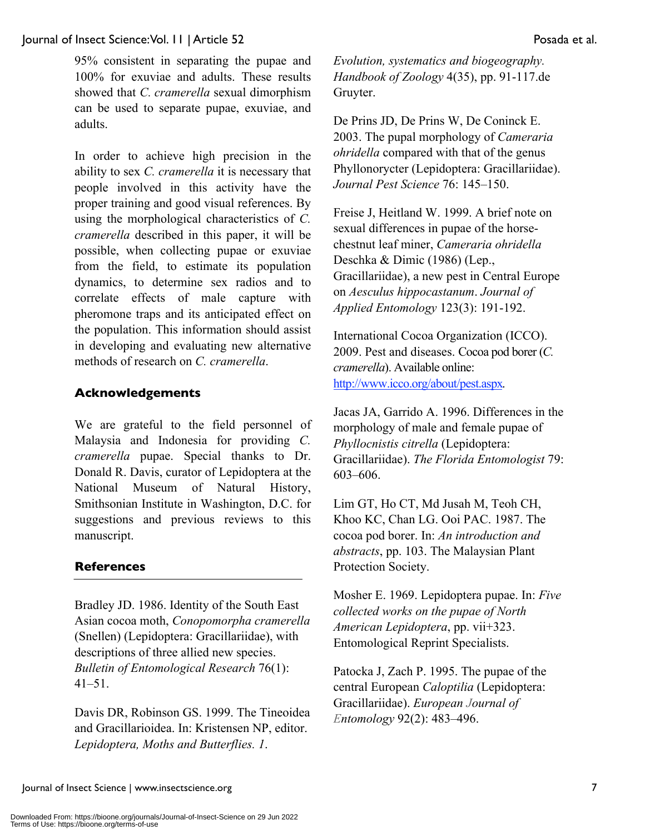#### Journal of Insect Science: Vol. 11 | Article 52 Posada et al.

95% consistent in separating the pupae and 100% for exuviae and adults. These results showed that *C. cramerella* sexual dimorphism can be used to separate pupae, exuviae, and adults.

In order to achieve high precision in the ability to sex *C. cramerella* it is necessary that people involved in this activity have the proper training and good visual references. By using the morphological characteristics of *C. cramerella* described in this paper, it will be possible, when collecting pupae or exuviae from the field, to estimate its population dynamics, to determine sex radios and to correlate effects of male capture with pheromone traps and its anticipated effect on the population. This information should assist in developing and evaluating new alternative methods of research on *C. cramerella*.

#### **Acknowledgements**

We are grateful to the field personnel of Malaysia and Indonesia for providing *C. cramerella* pupae. Special thanks to Dr. Donald R. Davis, curator of Lepidoptera at the National Museum of Natural History, Smithsonian Institute in Washington, D.C. for suggestions and previous reviews to this manuscript.

#### **References**

Bradley JD. 1986. Identity of the South East Asian cocoa moth, *Conopomorpha cramerella* (Snellen) (Lepidoptera: Gracillariidae), with descriptions of three allied new species. *Bulletin of Entomological Research* 76(1): 41–51.

Davis DR, Robinson GS. 1999. The Tineoidea and Gracillarioidea. In: Kristensen NP, editor. *Lepidoptera, Moths and Butterflies. 1*.

*Evolution, systematics and biogeography. Handbook of Zoology* 4(35), pp. 91-117.de Gruyter.

De Prins JD, De Prins W, De Coninck E. 2003. The pupal morphology of *Cameraria ohridella* compared with that of the genus Phyllonorycter (Lepidoptera: Gracillariidae). *Journal Pest Science* 76: 145–150.

Freise J, Heitland W. 1999. A brief note on sexual differences in pupae of the horsechestnut leaf miner, *Cameraria ohridella* Deschka & Dimic (1986) (Lep., Gracillariidae), a new pest in Central Europe on *Aesculus hippocastanum*. *Journal of Applied Entomology* 123(3): 191-192.

International Cocoa Organization (ICCO). 2009. Pest and diseases. Cocoa pod borer (*C. cramerella*). Available online: http://www.icco.org/about/pest.aspx.

Jacas JA, Garrido A. 1996. Differences in the morphology of male and female pupae of *Phyllocnistis citrella* (Lepidoptera: Gracillariidae). *The Florida Entomologist* 79: 603–606.

Lim GT, Ho CT, Md Jusah M, Teoh CH, Khoo KC, Chan LG. Ooi PAC. 1987. The cocoa pod borer. In: *An introduction and abstracts*, pp. 103. The Malaysian Plant Protection Society.

Mosher E. 1969. Lepidoptera pupae. In: *Five collected works on the pupae of North American Lepidoptera*, pp. vii+323. Entomological Reprint Specialists.

Patocka J, Zach P. 1995. The pupae of the central European *Caloptilia* (Lepidoptera: Gracillariidae). *European Journal of Entomology* 92(2): 483–496.